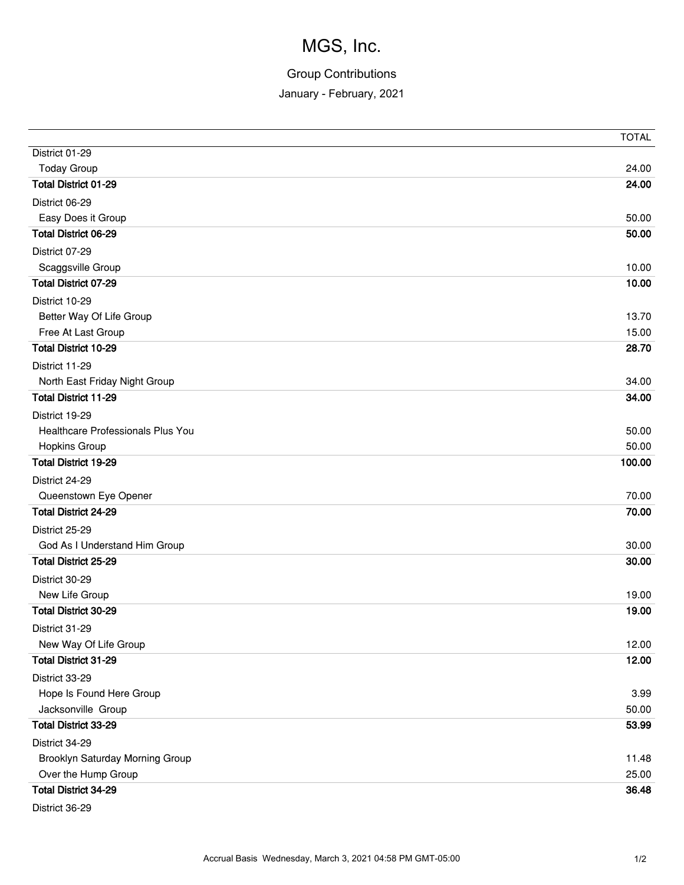# MGS, Inc.

### Group Contributions

January - February, 2021

|                                   | <b>TOTAL</b> |
|-----------------------------------|--------------|
| District 01-29                    |              |
| <b>Today Group</b>                | 24.00        |
| <b>Total District 01-29</b>       | 24.00        |
| District 06-29                    |              |
| Easy Does it Group                | 50.00        |
| <b>Total District 06-29</b>       | 50.00        |
| District 07-29                    |              |
| Scaggsville Group                 | 10.00        |
| <b>Total District 07-29</b>       | 10.00        |
| District 10-29                    |              |
| Better Way Of Life Group          | 13.70        |
| Free At Last Group                | 15.00        |
| <b>Total District 10-29</b>       | 28.70        |
| District 11-29                    |              |
| North East Friday Night Group     | 34.00        |
| <b>Total District 11-29</b>       | 34.00        |
| District 19-29                    |              |
| Healthcare Professionals Plus You | 50.00        |
| <b>Hopkins Group</b>              | 50.00        |
| <b>Total District 19-29</b>       | 100.00       |
| District 24-29                    |              |
| Queenstown Eye Opener             | 70.00        |
| <b>Total District 24-29</b>       | 70.00        |
| District 25-29                    |              |
| God As I Understand Him Group     | 30.00        |
| <b>Total District 25-29</b>       | 30.00        |
| District 30-29                    |              |
| New Life Group                    | 19.00        |
| <b>Total District 30-29</b>       | 19.00        |
| District 31-29                    |              |
| New Way Of Life Group             | 12.00        |
| <b>Total District 31-29</b>       | 12.00        |
| District 33-29                    |              |
| Hope Is Found Here Group          | 3.99         |
| Jacksonville Group                | 50.00        |
| <b>Total District 33-29</b>       | 53.99        |
| District 34-29                    |              |
| Brooklyn Saturday Morning Group   | 11.48        |
| Over the Hump Group               | 25.00        |
| <b>Total District 34-29</b>       | 36.48        |
| District 36-29                    |              |